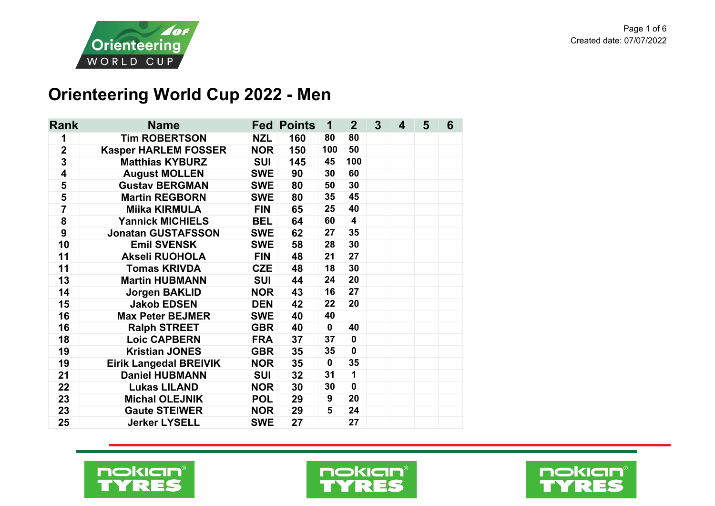

## **Orienteering World Cup 2022 - Men**

| Rank                    | <b>Name</b>                   |            | <b>Fed Points</b> |             | $\overline{2}$          | 3 <sup>5</sup> | 4 | 5 | 6 |
|-------------------------|-------------------------------|------------|-------------------|-------------|-------------------------|----------------|---|---|---|
| 1                       | <b>Tim ROBERTSON</b>          | <b>NZL</b> | 160               | 80          | 80                      |                |   |   |   |
| $\overline{2}$          | <b>Kasper HARLEM FOSSER</b>   | <b>NOR</b> | 150               | 100         | 50                      |                |   |   |   |
| $\overline{\mathbf{3}}$ | <b>Matthias KYBURZ</b>        | <b>SUI</b> | 145               | 45          | 100                     |                |   |   |   |
| $\overline{\mathbf{4}}$ | <b>August MOLLEN</b>          | <b>SWE</b> | 90                | 30          | 60                      |                |   |   |   |
| 5                       | <b>Gustav BERGMAN</b>         | <b>SWE</b> | 80                | 50          | 30                      |                |   |   |   |
| 5                       | <b>Martin REGBORN</b>         | <b>SWE</b> | 80                | 35          | 45                      |                |   |   |   |
| $\overline{7}$          | <b>Miika KIRMULA</b>          | <b>FIN</b> | 65                | 25          | 40                      |                |   |   |   |
| 8                       | <b>Yannick MICHIELS</b>       | <b>BEL</b> | 64                | 60          | $\overline{\mathbf{4}}$ |                |   |   |   |
| $\boldsymbol{9}$        | <b>Jonatan GUSTAFSSON</b>     | <b>SWE</b> | 62                | 27          | 35                      |                |   |   |   |
| 10                      | <b>Emil SVENSK</b>            | <b>SWE</b> | 58                | 28          | 30                      |                |   |   |   |
| 11                      | <b>Akseli RUOHOLA</b>         | <b>FIN</b> | 48                | 21          | 27                      |                |   |   |   |
| 11                      | <b>Tomas KRIVDA</b>           | <b>CZE</b> | 48                | 18          | 30                      |                |   |   |   |
| 13                      | <b>Martin HUBMANN</b>         | <b>SUI</b> | 44                | 24          | 20                      |                |   |   |   |
| 14                      | <b>Jorgen BAKLID</b>          | <b>NOR</b> | 43                | 16          | 27                      |                |   |   |   |
| 15                      | <b>Jakob EDSEN</b>            | <b>DEN</b> | 42                | 22          | 20                      |                |   |   |   |
| 16                      | <b>Max Peter BEJMER</b>       | <b>SWE</b> | 40                | 40          |                         |                |   |   |   |
| 16                      | <b>Ralph STREET</b>           | <b>GBR</b> | 40                | $\mathbf 0$ | 40                      |                |   |   |   |
| 18                      | <b>Loic CAPBERN</b>           | <b>FRA</b> | 37                | 37          | $\mathbf 0$             |                |   |   |   |
| 19                      | <b>Kristian JONES</b>         | <b>GBR</b> | 35                | 35          | $\mathbf{0}$            |                |   |   |   |
| 19                      | <b>Eirik Langedal BREIVIK</b> | <b>NOR</b> | 35                | $\mathbf 0$ | 35                      |                |   |   |   |
| 21                      | <b>Daniel HUBMANN</b>         | <b>SUI</b> | 32                | 31          | 1                       |                |   |   |   |
| 22                      | <b>Lukas LILAND</b>           | <b>NOR</b> | 30                | 30          | $\mathbf 0$             |                |   |   |   |
| 23                      | <b>Michal OLEJNIK</b>         | <b>POL</b> | 29                | 9           | 20                      |                |   |   |   |
| 23                      | <b>Gaute STEIWER</b>          | <b>NOR</b> | 29                | 5           | 24                      |                |   |   |   |
| 25                      | <b>Jerker LYSELL</b>          | <b>SWE</b> | 27                |             | 27                      |                |   |   |   |





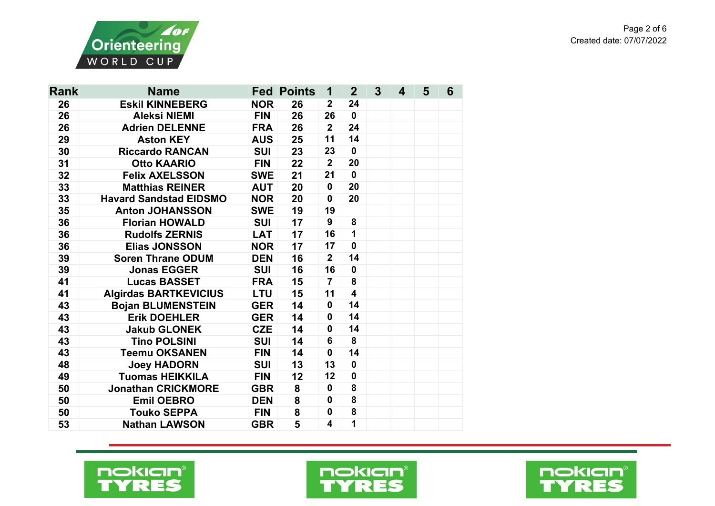

| Rank | <b>Name</b>                       |            | <b>Fed Points</b> |                | $\mathbf{2}$            | $\overline{3}$ | 4 | 5 | 6 |
|------|-----------------------------------|------------|-------------------|----------------|-------------------------|----------------|---|---|---|
| 26   | <b>Eskil KINNEBERG</b>            | <b>NOR</b> | 26                |                | 24                      |                |   |   |   |
| 26   | <b>FIN</b><br><b>Aleksi NIEMI</b> |            | 26                | 26             | $\mathbf 0$             |                |   |   |   |
| 26   | <b>Adrien DELENNE</b>             | <b>FRA</b> | 26                | $\overline{2}$ | 24                      |                |   |   |   |
| 29   | <b>Aston KEY</b>                  | <b>AUS</b> | 25                | 11             | 14                      |                |   |   |   |
| 30   | <b>Riccardo RANCAN</b>            | <b>SUI</b> | 23                | 23             | $\mathbf{0}$            |                |   |   |   |
| 31   | <b>Otto KAARIO</b>                | <b>FIN</b> | 22                | $\overline{2}$ | 20                      |                |   |   |   |
| 32   | <b>Felix AXELSSON</b>             | <b>SWE</b> | 21                | 21             | $\mathbf 0$             |                |   |   |   |
| 33   | <b>Matthias REINER</b>            | <b>AUT</b> | 20                | $\mathbf 0$    | 20                      |                |   |   |   |
| 33   | <b>Havard Sandstad EIDSMO</b>     | <b>NOR</b> | 20                | $\mathbf 0$    | 20                      |                |   |   |   |
| 35   | <b>Anton JOHANSSON</b>            | <b>SWE</b> | 19                | 19             |                         |                |   |   |   |
| 36   | <b>Florian HOWALD</b>             | <b>SUI</b> | 17                | 9              | 8                       |                |   |   |   |
| 36   | <b>Rudolfs ZERNIS</b>             | <b>LAT</b> | 17                | 16             | $\mathbf{1}$            |                |   |   |   |
| 36   | <b>Elias JONSSON</b>              | <b>NOR</b> | 17                | 17             | $\mathbf 0$             |                |   |   |   |
| 39   | <b>Soren Thrane ODUM</b>          | <b>DEN</b> | 16                | $\overline{2}$ | 14                      |                |   |   |   |
| 39   | <b>Jonas EGGER</b>                | <b>SUI</b> | 16                | 16             | $\mathbf 0$             |                |   |   |   |
| 41   | <b>Lucas BASSET</b>               | <b>FRA</b> | 15                | $\overline{7}$ | 8                       |                |   |   |   |
| 41   | <b>Algirdas BARTKEVICIUS</b>      | <b>LTU</b> | 15                | 11             | $\overline{\mathbf{4}}$ |                |   |   |   |
| 43   | <b>Bojan BLUMENSTEIN</b>          | <b>GER</b> | 14                | $\mathbf 0$    | 14                      |                |   |   |   |
| 43   | <b>Erik DOEHLER</b>               | <b>GER</b> | 14                | $\mathbf 0$    | 14                      |                |   |   |   |
| 43   | <b>Jakub GLONEK</b>               | <b>CZE</b> | 14                | $\mathbf 0$    | 14                      |                |   |   |   |
| 43   | <b>Tino POLSINI</b>               | <b>SUI</b> | 14                | 6              | 8                       |                |   |   |   |
| 43   | <b>Teemu OKSANEN</b>              | <b>FIN</b> | 14                | $\mathbf 0$    | 14                      |                |   |   |   |
| 48   | <b>Joey HADORN</b>                | <b>SUI</b> | 13                | 13             | $\mathbf{0}$            |                |   |   |   |
| 49   | <b>Tuomas HEIKKILA</b>            | <b>FIN</b> | 12                | 12             | $\mathbf{0}$            |                |   |   |   |
| 50   | <b>Jonathan CRICKMORE</b>         | <b>GBR</b> | 8                 | $\mathbf 0$    | 8                       |                |   |   |   |
| 50   | <b>Emil OEBRO</b>                 | <b>DEN</b> | 8                 | $\mathbf 0$    | 8                       |                |   |   |   |
| 50   | <b>Touko SEPPA</b>                | <b>FIN</b> | 8                 | $\mathbf 0$    | 8                       |                |   |   |   |
| 53   | <b>Nathan LAWSON</b>              | <b>GBR</b> | 5                 | 4              | 1                       |                |   |   |   |





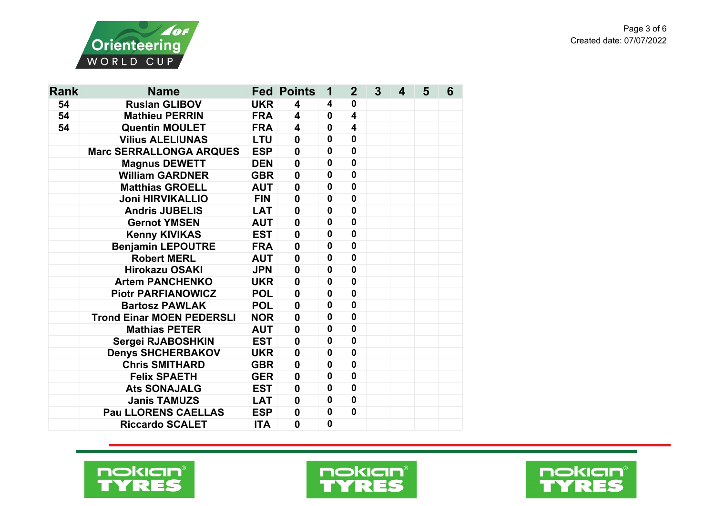

| <b>Rank</b> | <b>Name</b>                      | <b>Fed Points</b>                     |                         | 1            | $\mathbf{2}$            | 3 | 4 | 5 | 6 |
|-------------|----------------------------------|---------------------------------------|-------------------------|--------------|-------------------------|---|---|---|---|
| 54          | <b>Ruslan GLIBOV</b>             | <b>UKR</b>                            | $\overline{\mathbf{4}}$ | 4            | 0                       |   |   |   |   |
| 54          | <b>Mathieu PERRIN</b>            | <b>FRA</b><br>$\overline{\mathbf{4}}$ |                         | $\mathbf 0$  | $\overline{\mathbf{4}}$ |   |   |   |   |
| 54          | <b>Quentin MOULET</b>            | <b>FRA</b>                            | 4                       | $\mathbf{0}$ | $\overline{\mathbf{4}}$ |   |   |   |   |
|             | <b>Vilius ALELIUNAS</b>          | <b>LTU</b>                            | $\mathbf 0$             | 0            | 0                       |   |   |   |   |
|             | <b>Marc SERRALLONGA ARQUES</b>   | <b>ESP</b>                            | $\boldsymbol{0}$        | 0            | 0                       |   |   |   |   |
|             | <b>Magnus DEWETT</b>             | <b>DEN</b>                            | $\boldsymbol{0}$        | $\mathbf 0$  | $\mathbf 0$             |   |   |   |   |
|             | <b>William GARDNER</b>           | <b>GBR</b>                            | $\mathbf 0$             | $\mathbf 0$  | $\mathbf 0$             |   |   |   |   |
|             | <b>Matthias GROELL</b>           | <b>AUT</b>                            | $\mathbf 0$             | $\mathbf 0$  | $\mathbf 0$             |   |   |   |   |
|             | <b>Joni HIRVIKALLIO</b>          | <b>FIN</b>                            | $\boldsymbol{0}$        | $\mathbf 0$  | 0                       |   |   |   |   |
|             | <b>Andris JUBELIS</b>            | <b>LAT</b>                            | $\boldsymbol{0}$        | $\mathbf 0$  | $\mathbf 0$             |   |   |   |   |
|             | <b>Gernot YMSEN</b>              | <b>AUT</b>                            | $\boldsymbol{0}$        | $\mathbf 0$  | $\mathbf{0}$            |   |   |   |   |
|             | <b>Kenny KIVIKAS</b>             | <b>EST</b>                            | $\mathbf 0$             | $\mathbf 0$  | 0                       |   |   |   |   |
|             | <b>Benjamin LEPOUTRE</b>         | <b>FRA</b>                            | $\mathbf 0$             | $\mathbf 0$  | $\mathbf 0$             |   |   |   |   |
|             | <b>Robert MERL</b>               | <b>AUT</b>                            | $\mathbf 0$             | $\mathbf{0}$ | $\mathbf 0$             |   |   |   |   |
|             | <b>Hirokazu OSAKI</b>            | <b>JPN</b>                            | $\mathbf 0$             | $\mathbf 0$  | $\mathbf 0$             |   |   |   |   |
|             | <b>Artem PANCHENKO</b>           | <b>UKR</b>                            | $\boldsymbol{0}$        | $\mathbf 0$  | $\mathbf 0$             |   |   |   |   |
|             | <b>Piotr PARFIANOWICZ</b>        | <b>POL</b>                            | $\boldsymbol{0}$        | $\mathbf 0$  | 0                       |   |   |   |   |
|             | <b>Bartosz PAWLAK</b>            | <b>POL</b>                            | $\boldsymbol{0}$        | $\mathbf 0$  | 0                       |   |   |   |   |
|             | <b>Trond Einar MOEN PEDERSLI</b> | <b>NOR</b>                            | $\boldsymbol{0}$        | $\mathbf 0$  | 0                       |   |   |   |   |
|             | <b>Mathias PETER</b>             | <b>AUT</b>                            | $\boldsymbol{0}$        | $\mathbf 0$  | 0                       |   |   |   |   |
|             | Sergei RJABOSHKIN                | <b>EST</b>                            | $\mathbf 0$             | 0            | 0                       |   |   |   |   |
|             | <b>Denys SHCHERBAKOV</b>         | <b>UKR</b>                            | $\mathbf 0$             | $\mathbf 0$  | $\mathbf 0$             |   |   |   |   |
|             | <b>Chris SMITHARD</b>            | <b>GBR</b>                            | $\boldsymbol{0}$        | 0            | 0                       |   |   |   |   |
|             | <b>Felix SPAETH</b>              | <b>GER</b>                            | $\mathbf 0$             | 0            | $\mathbf 0$             |   |   |   |   |
|             | <b>Ats SONAJALG</b>              | <b>EST</b>                            | 0                       | 0            | 0                       |   |   |   |   |
|             | <b>Janis TAMUZS</b>              | <b>LAT</b>                            | $\boldsymbol{0}$        | 0            | $\mathbf 0$             |   |   |   |   |
|             | <b>Pau LLORENS CAELLAS</b>       | <b>ESP</b>                            | $\boldsymbol{0}$        | $\mathbf 0$  | 0                       |   |   |   |   |
|             | <b>Riccardo SCALET</b>           | <b>ITA</b>                            | $\mathbf 0$             | $\mathbf 0$  |                         |   |   |   |   |





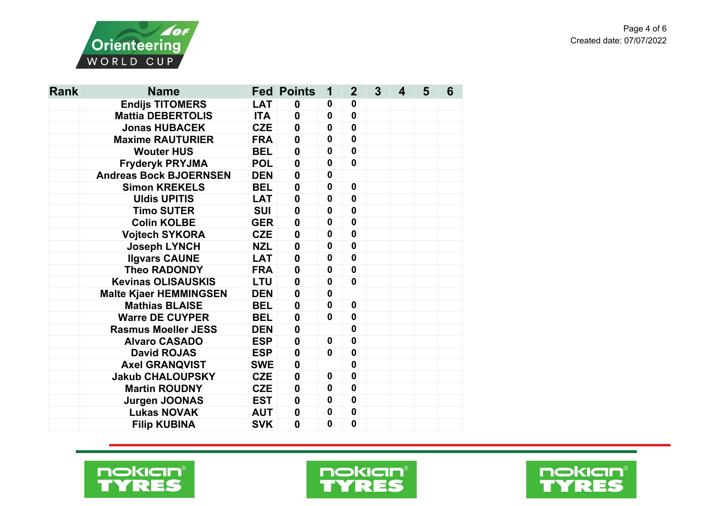

| <b>Rank</b> | <b>Name</b>                   |            | <b>Fed Points</b> |              | $\overline{2}$ | 3 | 4 | 5 | 6 |
|-------------|-------------------------------|------------|-------------------|--------------|----------------|---|---|---|---|
|             | <b>Endijs TITOMERS</b>        | <b>LAT</b> | $\boldsymbol{0}$  | $\mathbf 0$  | 0              |   |   |   |   |
|             | <b>Mattia DEBERTOLIS</b>      | <b>ITA</b> | $\boldsymbol{0}$  | $\bf{0}$     | $\mathbf 0$    |   |   |   |   |
|             | <b>Jonas HUBACEK</b>          | <b>CZE</b> | $\boldsymbol{0}$  | $\mathbf{0}$ | $\mathbf 0$    |   |   |   |   |
|             | <b>Maxime RAUTURIER</b>       | <b>FRA</b> | $\boldsymbol{0}$  | $\mathbf 0$  | $\mathbf 0$    |   |   |   |   |
|             | <b>Wouter HUS</b>             | <b>BEL</b> | $\boldsymbol{0}$  | $\mathbf 0$  | $\mathbf 0$    |   |   |   |   |
|             | <b>Fryderyk PRYJMA</b>        | <b>POL</b> | $\boldsymbol{0}$  | $\mathbf 0$  | $\mathbf{0}$   |   |   |   |   |
|             | <b>Andreas Bock BJOERNSEN</b> | <b>DEN</b> | $\mathbf 0$       | $\mathbf 0$  |                |   |   |   |   |
|             | <b>Simon KREKELS</b>          | <b>BEL</b> | $\boldsymbol{0}$  | $\mathbf 0$  | $\mathbf 0$    |   |   |   |   |
|             | <b>Uldis UPITIS</b>           | <b>LAT</b> | $\boldsymbol{0}$  | $\mathbf 0$  | $\mathbf 0$    |   |   |   |   |
|             | <b>Timo SUTER</b>             | <b>SUI</b> | $\boldsymbol{0}$  | $\mathbf{0}$ | $\mathbf 0$    |   |   |   |   |
|             | <b>Colin KOLBE</b>            | <b>GER</b> | $\boldsymbol{0}$  | 0            | $\mathbf 0$    |   |   |   |   |
|             | <b>Vojtech SYKORA</b>         | <b>CZE</b> | $\boldsymbol{0}$  | $\mathbf 0$  | $\mathbf 0$    |   |   |   |   |
|             | <b>Joseph LYNCH</b>           | <b>NZL</b> | $\boldsymbol{0}$  | $\mathbf 0$  | $\mathbf 0$    |   |   |   |   |
|             | <b>Ilgvars CAUNE</b>          | <b>LAT</b> | $\mathbf 0$       | $\mathbf 0$  | $\mathbf 0$    |   |   |   |   |
|             | <b>Theo RADONDY</b>           | <b>FRA</b> | $\boldsymbol{0}$  | $\mathbf 0$  | $\mathbf 0$    |   |   |   |   |
|             | <b>Kevinas OLISAUSKIS</b>     | <b>LTU</b> | $\boldsymbol{0}$  | $\mathbf 0$  | $\mathbf 0$    |   |   |   |   |
|             | <b>Malte Kjaer HEMMINGSEN</b> | <b>DEN</b> | $\boldsymbol{0}$  | $\mathbf 0$  |                |   |   |   |   |
|             | <b>Mathias BLAISE</b>         | <b>BEL</b> | $\boldsymbol{0}$  | 0            | $\mathbf 0$    |   |   |   |   |
|             | <b>Warre DE CUYPER</b>        | <b>BEL</b> | $\boldsymbol{0}$  | $\mathbf 0$  | $\mathbf 0$    |   |   |   |   |
|             | <b>Rasmus Moeller JESS</b>    | <b>DEN</b> | $\bf{0}$          |              | $\mathbf 0$    |   |   |   |   |
|             | <b>Alvaro CASADO</b>          | <b>ESP</b> | $\mathbf 0$       | $\mathbf 0$  | $\mathbf 0$    |   |   |   |   |
|             | <b>David ROJAS</b>            | <b>ESP</b> | $\boldsymbol{0}$  | $\mathbf 0$  | $\mathbf 0$    |   |   |   |   |
|             | <b>Axel GRANQVIST</b>         | <b>SWE</b> | $\boldsymbol{0}$  |              | $\mathbf 0$    |   |   |   |   |
|             | <b>Jakub CHALOUPSKY</b>       | <b>CZE</b> | $\boldsymbol{0}$  | 0            | $\mathbf 0$    |   |   |   |   |
|             | <b>Martin ROUDNY</b>          | <b>CZE</b> | $\boldsymbol{0}$  | 0            | $\mathbf 0$    |   |   |   |   |
|             | <b>Jurgen JOONAS</b>          | <b>EST</b> | $\boldsymbol{0}$  | 0            | $\mathbf 0$    |   |   |   |   |
|             | <b>Lukas NOVAK</b>            | <b>AUT</b> | $\boldsymbol{0}$  | $\mathbf 0$  | $\mathbf 0$    |   |   |   |   |
|             | <b>Filip KUBINA</b>           | <b>SVK</b> | $\mathbf 0$       | $\mathbf 0$  | $\mathbf 0$    |   |   |   |   |





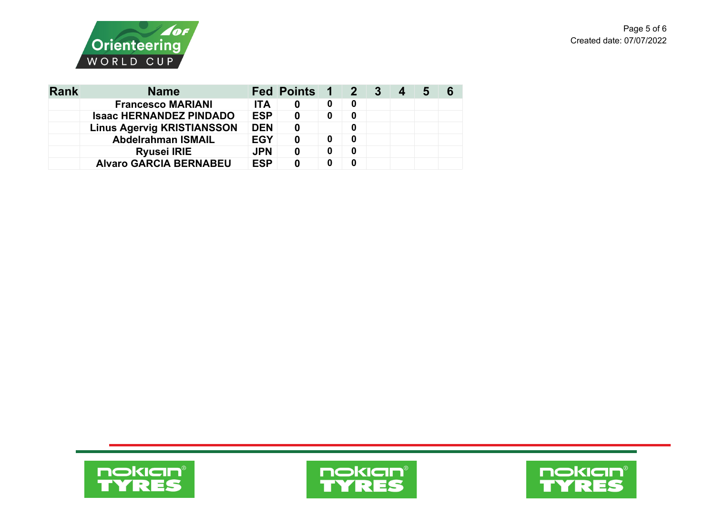



| <b>Rank</b> | <b>Name</b>                       |            | Fed Points 1 2 3 |   |   | 4 | b | 6 |
|-------------|-----------------------------------|------------|------------------|---|---|---|---|---|
|             | <b>Francesco MARIANI</b>          | <b>ITA</b> |                  | 0 | 0 |   |   |   |
|             | <b>Isaac HERNANDEZ PINDADO</b>    | <b>ESP</b> | 0                | 0 | 0 |   |   |   |
|             | <b>Linus Agervig KRISTIANSSON</b> | <b>DEN</b> |                  |   |   |   |   |   |
|             | <b>Abdelrahman ISMAIL</b>         | <b>EGY</b> |                  | 0 | 0 |   |   |   |
|             | <b>Ryusei IRIE</b>                | <b>JPN</b> |                  | 0 | 0 |   |   |   |
|             | <b>Alvaro GARCIA BERNABEU</b>     | <b>ESP</b> | 0                | 0 |   |   |   |   |